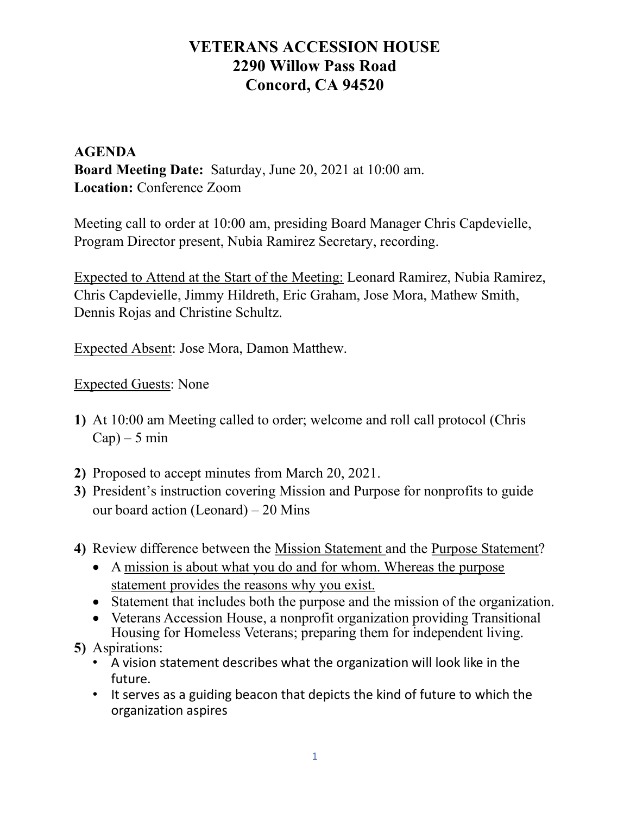### AGENDA Board Meeting Date: Saturday, June 20, 2021 at 10:00 am. Location: Conference Zoom

Meeting call to order at 10:00 am, presiding Board Manager Chris Capdevielle, Program Director present, Nubia Ramirez Secretary, recording.

Expected to Attend at the Start of the Meeting: Leonard Ramirez, Nubia Ramirez, Chris Capdevielle, Jimmy Hildreth, Eric Graham, Jose Mora, Mathew Smith, Dennis Rojas and Christine Schultz.

Expected Absent: Jose Mora, Damon Matthew.

Expected Guests: None

- 1) At 10:00 am Meeting called to order; welcome and roll call protocol (Chris  $Cap$ ) – 5 min
- 2) Proposed to accept minutes from March 20, 2021.
- 3) President's instruction covering Mission and Purpose for nonprofits to guide our board action (Leonard) – 20 Mins
- 4) Review difference between the Mission Statement and the Purpose Statement?
	- A mission is about what you do and for whom. Whereas the purpose statement provides the reasons why you exist.
	- Statement that includes both the purpose and the mission of the organization.
	- Veterans Accession House, a nonprofit organization providing Transitional Housing for Homeless Veterans; preparing them for independent living.
- 5) Aspirations:
	- A vision statement describes what the organization will look like in the future.
	- It serves as a guiding beacon that depicts the kind of future to which the organization aspires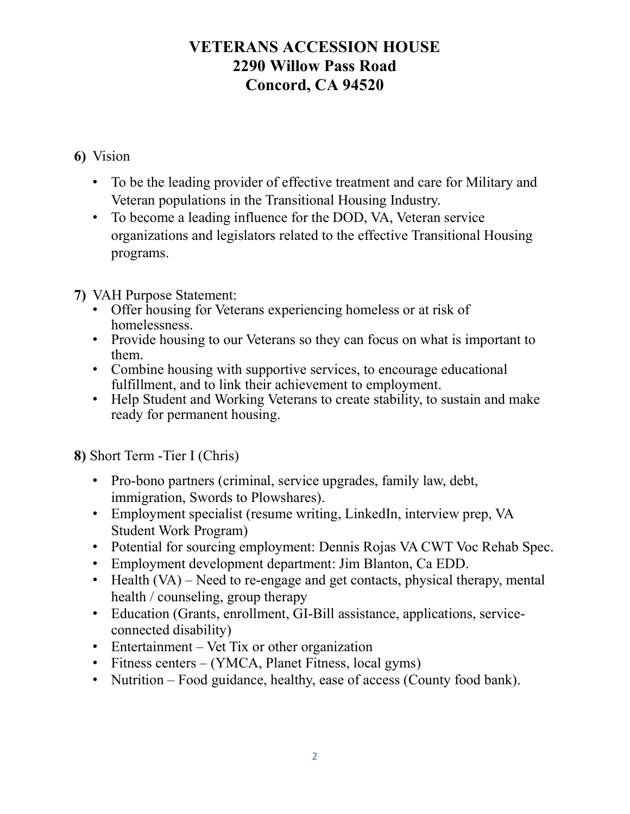#### 6) Vision

- To be the leading provider of effective treatment and care for Military and Veteran populations in the Transitional Housing Industry.
- To become a leading influence for the DOD, VA, Veteran service organizations and legislators related to the effective Transitional Housing programs.
- 7) VAH Purpose Statement:
	- Offer housing for Veterans experiencing homeless or at risk of homelessness.
	- Provide housing to our Veterans so they can focus on what is important to them.
	- Combine housing with supportive services, to encourage educational fulfillment, and to link their achievement to employment.
	- Help Student and Working Veterans to create stability, to sustain and make ready for permanent housing.

8) Short Term -Tier I (Chris)

- Pro-bono partners (criminal, service upgrades, family law, debt, immigration, Swords to Plowshares).
- Employment specialist (resume writing, LinkedIn, interview prep, VA Student Work Program)
- Potential for sourcing employment: Dennis Rojas VA CWT Voc Rehab Spec.
- Employment development department: Jim Blanton, Ca EDD.
- Health (VA) Need to re-engage and get contacts, physical therapy, mental health / counseling, group therapy
- Education (Grants, enrollment, GI-Bill assistance, applications, serviceconnected disability)
- Entertainment Vet Tix or other organization
- Fitness centers (YMCA, Planet Fitness, local gyms)
- Nutrition Food guidance, healthy, ease of access (County food bank).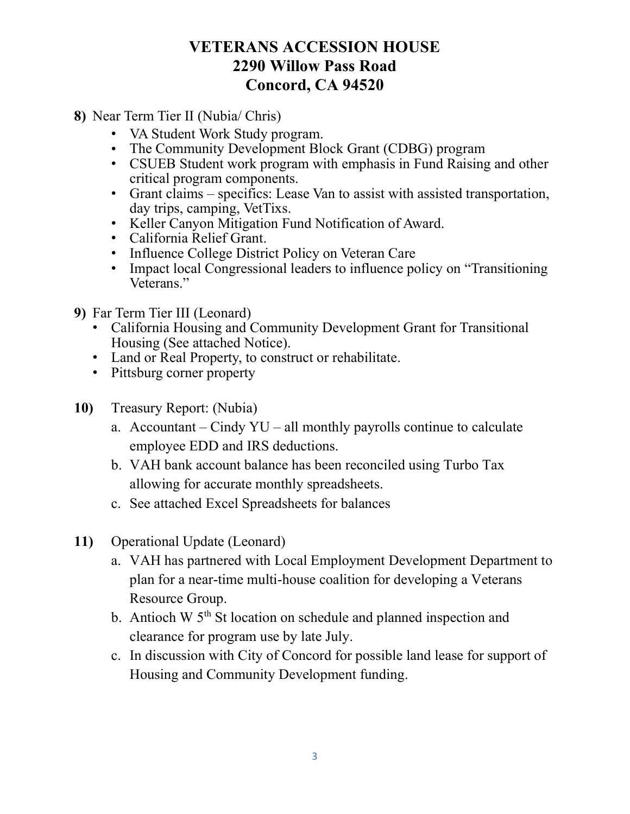- 8) Near Term Tier II (Nubia/ Chris)
	- VA Student Work Study program.
	- The Community Development Block Grant (CDBG) program
	- CSUEB Student work program with emphasis in Fund Raising and other critical program components.
	- Grant claims specifics: Lease Van to assist with assisted transportation, day trips, camping, VetTixs.
	- Keller Canyon Mitigation Fund Notification of Award.
	- California Relief Grant.
	- Influence College District Policy on Veteran Care
	- Impact local Congressional leaders to influence policy on "Transitioning" Veterans."
- 9) Far Term Tier III (Leonard)
	- California Housing and Community Development Grant for Transitional Housing (See attached Notice).
	- Land or Real Property, to construct or rehabilitate.
	- Pittsburg corner property
- 10) Treasury Report: (Nubia)
	- a. Accountant Cindy  $YU$  all monthly payrolls continue to calculate employee EDD and IRS deductions.
	- b. VAH bank account balance has been reconciled using Turbo Tax allowing for accurate monthly spreadsheets.
	- c. See attached Excel Spreadsheets for balances
- 11) Operational Update (Leonard)
	- a. VAH has partnered with Local Employment Development Department to plan for a near-time multi-house coalition for developing a Veterans Resource Group.
	- b. Antioch W 5<sup>th</sup> St location on schedule and planned inspection and clearance for program use by late July.
	- c. In discussion with City of Concord for possible land lease for support of Housing and Community Development funding.